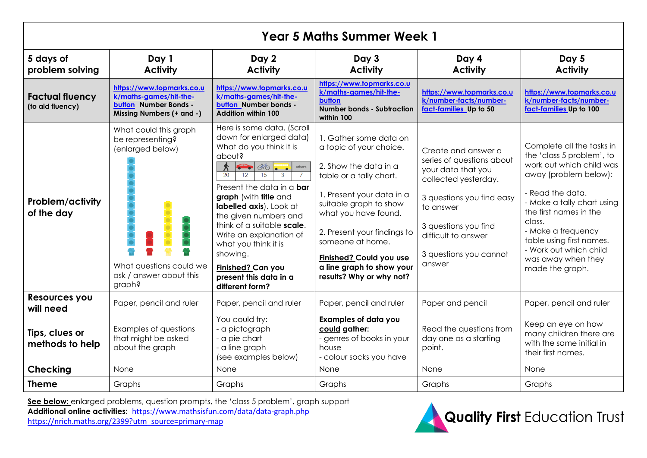| <b>Year 5 Maths Summer Week 1</b>          |                                                                                                                               |                                                                                                                                                                                                                                                                                                                                                                                                                                                                                                         |                                                                                                                                                                                                                                                                                                                             |                                                                                                                                                                                                                             |                                                                                                                                                                                                                                                                                                                        |  |  |  |
|--------------------------------------------|-------------------------------------------------------------------------------------------------------------------------------|---------------------------------------------------------------------------------------------------------------------------------------------------------------------------------------------------------------------------------------------------------------------------------------------------------------------------------------------------------------------------------------------------------------------------------------------------------------------------------------------------------|-----------------------------------------------------------------------------------------------------------------------------------------------------------------------------------------------------------------------------------------------------------------------------------------------------------------------------|-----------------------------------------------------------------------------------------------------------------------------------------------------------------------------------------------------------------------------|------------------------------------------------------------------------------------------------------------------------------------------------------------------------------------------------------------------------------------------------------------------------------------------------------------------------|--|--|--|
| 5 days of<br>problem solving               | Day 1<br><b>Activity</b>                                                                                                      | Day 2<br><b>Activity</b>                                                                                                                                                                                                                                                                                                                                                                                                                                                                                | Day 3<br><b>Activity</b>                                                                                                                                                                                                                                                                                                    | Day 4<br><b>Activity</b>                                                                                                                                                                                                    | Day 5<br><b>Activity</b>                                                                                                                                                                                                                                                                                               |  |  |  |
| <b>Factual fluency</b><br>(to aid fluency) | https://www.topmarks.co.u<br>k/maths-games/hit-the-<br>button Number Bonds -<br>Missing Numbers (+ and -)                     | https://www.topmarks.co.u<br>k/maths-games/hit-the-<br>button Number bonds -<br><b>Addition within 100</b>                                                                                                                                                                                                                                                                                                                                                                                              | https://www.topmarks.co.u<br>k/maths-games/hit-the-<br>button<br><b>Number bonds - Subtraction</b><br>within 100                                                                                                                                                                                                            | https://www.topmarks.co.u<br>k/number-facts/number-<br>fact-families Up to 50                                                                                                                                               | https://www.topmarks.co.u<br>k/number-facts/number-<br>fact-families Up to 100                                                                                                                                                                                                                                         |  |  |  |
| Problem/activity<br>of the day             | What could this graph<br>be representing?<br>(enlarged below)<br>What questions could we<br>ask / answer about this<br>graph? | Here is some data. (Scroll<br>down for enlarged data)<br>What do you think it is<br>about?<br>$\left \bigoplus\limits_{i=1}^{\infty}\phi_{i}\right $<br>$\hat{\mathcal{K}}$<br>others<br>15<br>20<br>12<br>$\mathbf{3}$<br>Present the data in a <b>bar</b><br>graph (with title and<br>labelled axis). Look at<br>the given numbers and<br>think of a suitable scale.<br>Write an explanation of<br>what you think it is<br>showing.<br>Finished? Can you<br>present this data in a<br>different form? | 1. Gather some data on<br>a topic of your choice.<br>2. Show the data in a<br>table or a tally chart.<br>1. Present your data in a<br>suitable graph to show<br>what you have found.<br>2. Present your findings to<br>someone at home.<br>Finished? Could you use<br>a line graph to show your<br>results? Why or why not? | Create and answer a<br>series of questions about<br>your data that you<br>collected yesterday.<br>3 questions you find easy<br>to answer<br>3 questions you find<br>difficult to answer<br>3 questions you cannot<br>answer | Complete all the tasks in<br>the 'class 5 problem', to<br>work out which child was<br>away (problem below):<br>- Read the data.<br>- Make a tally chart using<br>the first names in the<br>class.<br>- Make a frequency<br>table using first names.<br>- Work out which child<br>was away when they<br>made the graph. |  |  |  |
| <b>Resources you</b><br>will need          | Paper, pencil and ruler                                                                                                       | Paper, pencil and ruler                                                                                                                                                                                                                                                                                                                                                                                                                                                                                 | Paper, pencil and ruler                                                                                                                                                                                                                                                                                                     | Paper and pencil                                                                                                                                                                                                            | Paper, pencil and ruler                                                                                                                                                                                                                                                                                                |  |  |  |
| Tips, clues or<br>methods to help          | Examples of questions<br>that might be asked<br>about the graph                                                               | You could try:<br>- a pictograph<br>- a pie chart<br>- a line graph<br>(see examples below)                                                                                                                                                                                                                                                                                                                                                                                                             | <b>Examples of data you</b><br>could gather:<br>- genres of books in your<br>house<br>- colour socks you have                                                                                                                                                                                                               | Read the questions from<br>day one as a starting<br>point.                                                                                                                                                                  | Keep an eye on how<br>many children there are<br>with the same initial in<br>their first names.                                                                                                                                                                                                                        |  |  |  |
| <b>Checking</b>                            | None                                                                                                                          | None                                                                                                                                                                                                                                                                                                                                                                                                                                                                                                    | <b>None</b>                                                                                                                                                                                                                                                                                                                 | None                                                                                                                                                                                                                        | <b>None</b>                                                                                                                                                                                                                                                                                                            |  |  |  |
| <b>Theme</b>                               | Graphs                                                                                                                        | Graphs                                                                                                                                                                                                                                                                                                                                                                                                                                                                                                  | Graphs                                                                                                                                                                                                                                                                                                                      | Graphs                                                                                                                                                                                                                      | Graphs                                                                                                                                                                                                                                                                                                                 |  |  |  |

See below: enlarged problems, question prompts, the 'class 5 problem', graph support **Additional online activities:** <https://www.mathsisfun.com/data/data-graph.php>



[https://nrich.maths.org/2399?utm\\_source=primary-map](https://nrich.maths.org/2399?utm_source=primary-map)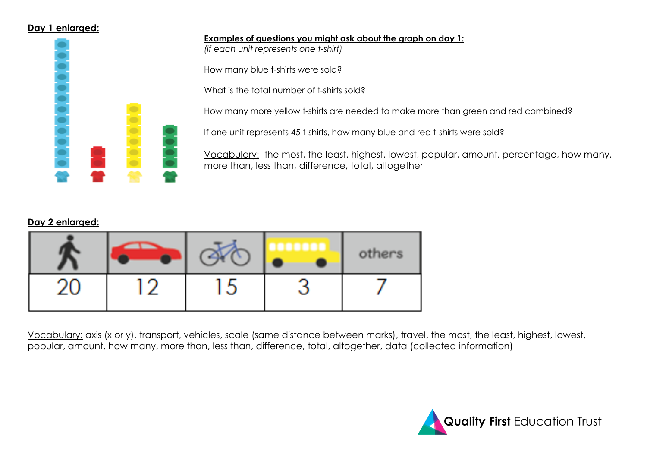#### **Day 1 enlarged:**



# **Examples of questions you might ask about the graph on day 1:**

*(if each unit represents one t-shirt)*

How many blue t-shirts were sold?

What is the total number of t-shirts sold?

How many more yellow t-shirts are needed to make more than green and red combined?

If one unit represents 45 t-shirts, how many blue and red t-shirts were sold?

Vocabulary: the most, the least, highest, lowest, popular, amount, percentage, how many, more than, less than, difference, total, altogether

# **Day 2 enlarged:**

|     |                    | others |
|-----|--------------------|--------|
| . W | a Maria<br>المستور |        |

Vocabulary: axis (x or y), transport, vehicles, scale (same distance between marks), travel, the most, the least, highest, lowest, popular, amount, how many, more than, less than, difference, total, altogether, data (collected information)

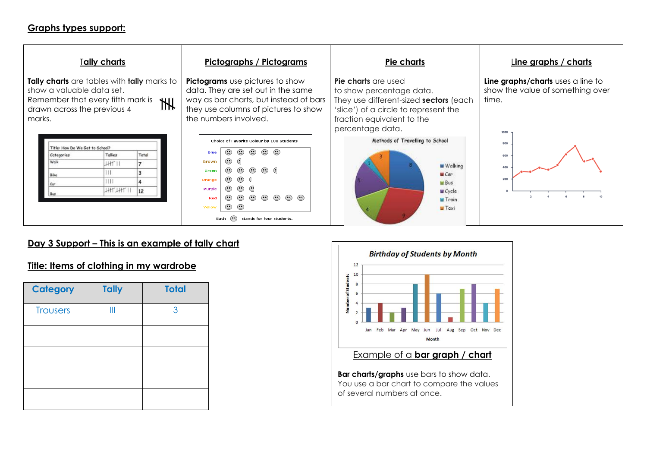#### **Graphs types support:**



# **Day 3 Support – This is an example of tally chart**

#### **Title: Items of clothing in my wardrobe**

| <b>Category</b> | <b>Tally</b> | <b>Total</b> |
|-----------------|--------------|--------------|
| <b>Trousers</b> | Ш            | 3            |
|                 |              |              |
|                 |              |              |
|                 |              |              |
|                 |              |              |



**Bar charts/graphs** use bars to show data. You use a bar chart to compare the values of several numbers at once.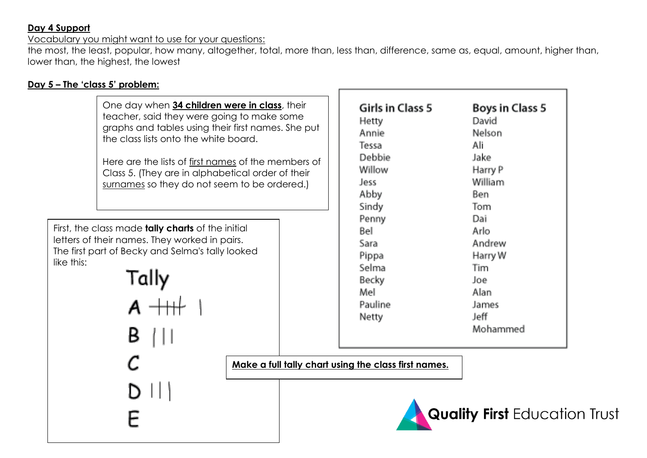### **Day 4 Support**

Vocabulary you might want to use for your questions:

the most, the least, popular, how many, altogether, total, more than, less than, difference, same as, equal, amount, higher than, lower than, the highest, the lowest

# **Day 5 – The 'class 5' problem:**

One day when **34 children were in class**, their teacher, said they were going to make some graphs and tables using their first names. She put the class lists onto the white board. Here are the lists of first names of the members of Class 5. (They are in alphabetical order of their surnames so they do not seem to be ordered.)

First, the class made **tally charts** of the initial letters of their names. They worked in pairs. The first part of Becky and Selma's tally looked like this:

Girls in Class 5 **Boys in Class 5** David **Hetty Annie Nelson** Tessa Ali Debbie: **Jake Willow** Harry P William Jess. Abby Ben. Sindy. Tom. Penny Dai Bel Arlo. Andrew Sara-Harry W Pippa Selma. Tim. **Becky** Joe. Mell Alan. Pauline **James** Jeff. **Netty** Mohammed

**Make a full tally chart using the class first names.**